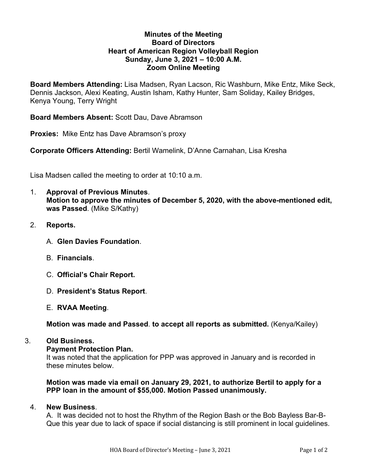### **Minutes of the Meeting Board of Directors Heart of American Region Volleyball Region Sunday, June 3, 2021 – 10:00 A.M. Zoom Online Meeting**

**Board Members Attending:** Lisa Madsen, Ryan Lacson, Ric Washburn, Mike Entz, Mike Seck, Dennis Jackson, Alexi Keating, Austin Isham, Kathy Hunter, Sam Soliday, Kailey Bridges, Kenya Young, Terry Wright

**Board Members Absent:** Scott Dau, Dave Abramson

**Proxies:** Mike Entz has Dave Abramson's proxy

**Corporate Officers Attending:** Bertil Wamelink, D'Anne Carnahan, Lisa Kresha

Lisa Madsen called the meeting to order at 10:10 a.m.

- 1. **Approval of Previous Minutes**. **Motion to approve the minutes of December 5, 2020, with the above-mentioned edit, was Passed**. (Mike S/Kathy)
- 2. **Reports.**
	- A. **Glen Davies Foundation**.
	- B. **Financials**.
	- C. **Official's Chair Report.**
	- D. **President's Status Report**.
	- E. **RVAA Meeting**.

**Motion was made and Passed**. **to accept all reports as submitted.** (Kenya/Kailey)

### 3. **Old Business.**

#### **Payment Protection Plan.**

It was noted that the application for PPP was approved in January and is recorded in these minutes below.

**Motion was made via email on January 29, 2021, to authorize Bertil to apply for a PPP loan in the amount of \$55,000. Motion Passed unanimously.**

### 4. **New Business**.

A. It was decided not to host the Rhythm of the Region Bash or the Bob Bayless Bar-B-Que this year due to lack of space if social distancing is still prominent in local guidelines.